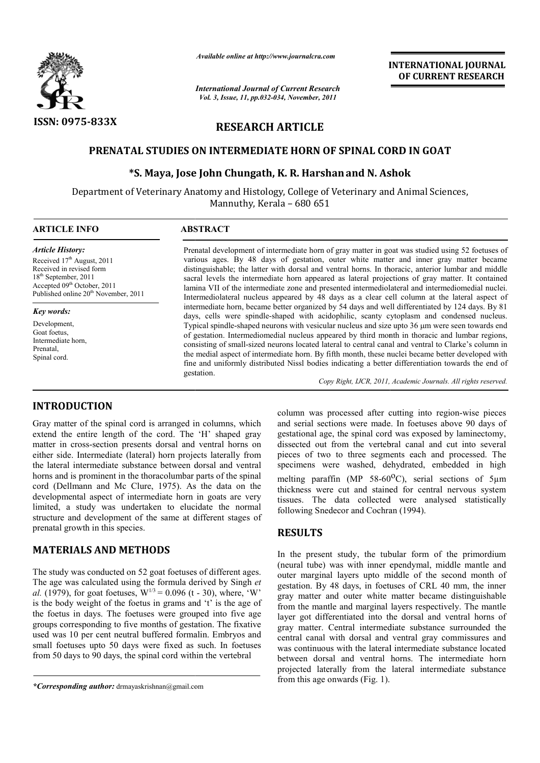

*Available online at http://www.journalcra.com*

*International Journal of Current Research Vol. 3, Issue, 11, pp.032-034, November, 2011*

### **INTERNATIONAL INTERNATIONAL JOURNAL OF CURRENT RESEARCH**

# **RESEARCH ARTICLE**

# **PRENATAL STUDIES ON INTERMEDIATE HORN OF SPINAL CORD IN GOAT SPINAL CORD GOAT**

# **\*S. Maya, Jose John Chungath, K. R. Harshan Harshanand N. Ashok and N. Ashok**

Department of Veterinary Anatomy and Histology, College of Veterinary and Animal Sciences, Mannuthy, Kerala – 680 651  $\overline{a}$ 

### **ARTICLE INFO ABSTRACT**

*Article History:* Received 17<sup>th</sup> August, 2011 Received in revised form 18th September, 2011 Accepted 09<sup>th</sup> October, 2011 Published online 20<sup>th</sup> November, 2011

*Key words:* Development Goat foetus, Intermediate horn, Prenatal, Spinal cord.

**INTRODUCTION**

Prenatal development of intermediate horn of gray matter in goat was studied using 52 foetuses of various ages. By 48 days of gestation, outer white matter and inner gray matter became distinguishable; the latter with dorsal and ventral horns. In thoracic, anterior lumbar and middle sacral l levels the intermediate horn appeared as lateral projections of gray matter. It contained lamina VII of the intermediate zone and presented intermediolateral and intermediomedial nuclei. Intermediolateral nucleus appeared by 48 days as a clear cell column at the lateral aspect of intermediate horn, became better organized by 54 days and well differentiated by 124 days. By 81 days, cells were spindle-shaped with acidophilic, scanty cytoplasm and condensed nucleus. Typical spindle-shaped neurons with vesicular nucleus and size upto 36 of gestation. Intermediomedial nucleus appeared by third month in thoracic and lumbar regions, consisting of small-sized neurons located lateral to central canal and ventral to Clarke's column in the media medial aspect of intermediate horn. By fifth month, these nuclei became better developed with fine and uniformly distributed Nissl bodies indicating a better differentiation towards the end of gestation. by 48 days of gestation, outer white matter in goat was studied using 52 foetuses of By 48 days of gestation, outer white matter and inner gray matter became i; the latter with dorsal and ventral horns. In thoracic, anteri better organized by 54 days and well differentiated by 124 days. By 81 shaped with acidophilic, scanty cytoplasm and condensed nucleus.<br>Irons with vesicular nucleus and size upto 36 µm were seen towards end inediomedial nucleus appeared by third month in thoracic a sized neurons located lateral to central canal and ventral to f intermediate horn. By fifth month, these nuclei became be distributed Nissl bodies indicating a bet

*Copy Right, IJCR, 2011, Academic Journals Copy Right, Journals. All rights reserved.*

Gray matter of the spinal cord is arranged in columns, which extend the entire length of the cord. The 'H' shaped gray matter in cross-section presents dorsal and ventral horns on either side. Intermediate (lateral) horn projects laterally from the lateral intermediate substance between dorsal and ventral horns and is prominent in the thoracolumbar parts of the spinal cord (Dellmann and Mc Clure, 1975). As the data on the developmental aspect of intermediate horn in goats are very limited, a study was undertaken to elucidate the normal structure and development of the same at different stages of prenatal growth in this species. section presents dorsal and ventral horns on<br>rmediate (lateral) horn projects laterally from<br>mediate substance between dorsal and ventral<br>minent in the thoracolumbar parts of the spinal<br>and Mc Clure, 1975). As the data on

# **MATERIALS AND METHODS**

The study was conducted on 52 goat foetuses of different ages. The age was calculated using the formula derived by Singh et *al.* (1979), for goat foetuses,  $W^{1/3} = 0.096$  (t - 30), where, 'W' is the body weight of the foetus in grams and 't' is the age of the foetus in days. The foetuses were grouped into five age groups corresponding to five months of gestation. The fixative used was 10 per cent neutral buffered formalin. Embryos and small foetuses upto 50 days were fixed as such. In foetuses from 50 days to 90 days, the spinal cord within the vertebral raken to elucidate the normal<br>
Fermion at different stages of<br> **HODS**<br>
2 goat foetuses of different ages.<br>
the formula derived by Singh *et* 

column was processed after cutting into region-wise pieces and serial sections were made. In foetuses above 90 days of gestational age, the spinal cord was exposed by laminectomy, dissected out from the vertebral canal and cut into several pieces of two to three segments each and processed. The specimens were washed, dehydrated, embedded in high and serial sections were made. In foetuses above 90 days of gestational age, the spinal cord was exposed by laminectomy, dissected out from the vertebral canal and cut into several pieces of two to three segments each and thickness were cut and stained for central nervous system tissues. The data collected were analysed statistically following Snedecor and Cochran (1994). ickness were cut and stained for central nervous system<br>ssues. The data collected were analysed statistically<br>llowing Snedecor and Cochran (1994).

### **RESULTS**

In the present study, the tubular form of the primordium (neural tube) was with inner ependymal, middle mantle and outer marginal layers upto middle of the second month of In the present study, the tubular form of the primordium (neural tube) was with inner ependymal, middle mantle and outer marginal layers upto middle of the second month of gestation. By 48 days, in foetuses of CRL 40 mm, t gray matter and outer white matter became distinguishable from the mantle and marginal layers respectively. The mantle layer got differentiated into the dorsal and ventral horns of gray matter. Central intermediate substance surrounde central canal with dorsal and ventral gray commissures and was continuous with the lateral intermediate substance located between dorsal and ventral horns. The intermediate horn projected laterally from the lateral intermediate substance from this age onwards (Fig. 1). from this age onwards (Fig. 1). gray matter and outer white matter became distinguishable<br>from the mantle and marginal layers respectively. The mantle<br>layer got differentiated into the dorsal and ventral horns of<br>gray matter. Central intermediate substan canal with dorsal and ventral gray commissures and<br>tinuous with the lateral intermediate substance located<br>a dorsal and ventral horns. The intermediate horn

*<sup>\*</sup>Corresponding author:* drmayaskrishnan@gmail.com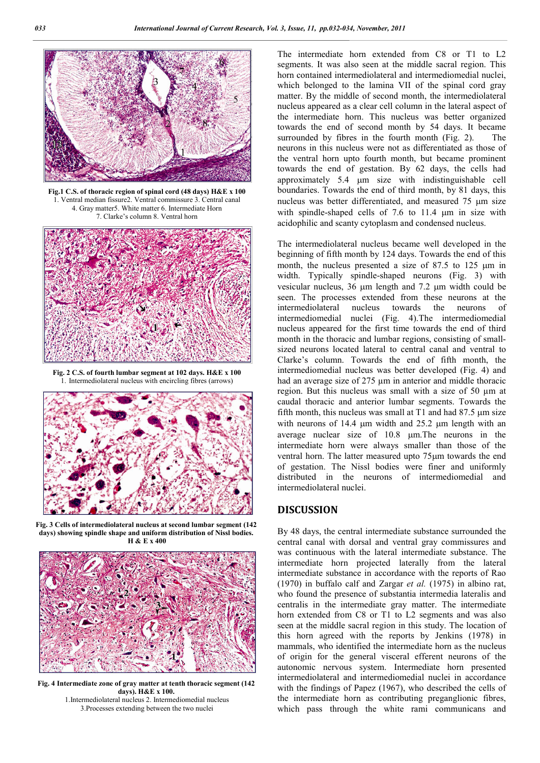

**Fig.1 C.S. of thoracic region of spinal cord (48 days) H&E x 100** 1. Ventral median fissure2. Ventral commissure 3. Central canal 4. Gray matter5. White matter 6. Intermediate Horn 7. Clarke's column 8. Ventral horn



**Fig. 2 C.S. of fourth lumbar segment at 102 days. H&E x 100** 1. Intermediolateral nucleus with encircling fibres (arrows)



**Fig. 3 Cells of intermediolateral nucleus at second lumbar segment (142 days) showing spindle shape and uniform distribution of Nissl bodies. H & E x 400**



**Fig. 4 Intermediate zone of gray matter at tenth thoracic segment (142 days). H&E x 100.** 1.Intermediolateral nucleus 2. Intermediomedial nucleus 3.Processes extending between the two nuclei

The intermediate horn extended from C8 or T1 to L2 segments. It was also seen at the middle sacral region. This horn contained intermediolateral and intermediomedial nuclei, which belonged to the lamina VII of the spinal cord gray matter. By the middle of second month, the intermediolateral nucleus appeared as a clear cell column in the lateral aspect of the intermediate horn. This nucleus was better organized towards the end of second month by 54 days. It became surrounded by fibres in the fourth month (Fig. 2). The neurons in this nucleus were not as differentiated as those of the ventral horn upto fourth month, but became prominent towards the end of gestation. By 62 days, the cells had approximately 5.4  $\mu$ m size with indistinguishable cell boundaries. Towards the end of third month, by 81 days, this nucleus was better differentiated, and measured  $75 \mu m$  size with spindle-shaped cells of  $7.6$  to  $11.4 \mu m$  in size with acidophilic and scanty cytoplasm and condensed nucleus.

The intermediolateral nucleus became well developed in the beginning of fifth month by 124 days. Towards the end of this month, the nucleus presented a size of  $87.5$  to  $125 \mu m$  in width. Typically spindle-shaped neurons (Fig. 3) with vesicular nucleus,  $36 \mu m$  length and  $7.2 \mu m$  width could be seen. The processes extended from these neurons at the intermediolateral nucleus towards the neurons of intermediomedial nuclei (Fig. 4).The intermediomedial nucleus appeared for the first time towards the end of third month in the thoracic and lumbar regions, consisting of smallsized neurons located lateral to central canal and ventral to Clarke's column. Towards the end of fifth month, the intermediomedial nucleus was better developed (Fig. 4) and had an average size of 275  $\mu$ m in anterior and middle thoracic region. But this nucleus was small with a size of 50 µm at caudal thoracic and anterior lumbar segments. Towards the fifth month, this nucleus was small at  $T1$  and had  $87.5 \mu m$  size with neurons of  $14.4 \mu m$  width and  $25.2 \mu m$  length with an average nuclear size of 10.8  $\mu$ m. The neurons in the intermediate horn were always smaller than those of the ventral horn. The latter measured upto 75µm towards the end of gestation. The Nissl bodies were finer and uniformly distributed in the neurons of intermediomedial and intermediolateral nuclei.

### **DISCUSSION**

By 48 days, the central intermediate substance surrounded the central canal with dorsal and ventral gray commissures and was continuous with the lateral intermediate substance. The intermediate horn projected laterally from the lateral intermediate substance in accordance with the reports of Rao (1970) in buffalo calf and Zargar *et al.* (1975) in albino rat, who found the presence of substantia intermedia lateralis and centralis in the intermediate gray matter. The intermediate horn extended from C8 or T1 to L2 segments and was also seen at the middle sacral region in this study. The location of this horn agreed with the reports by Jenkins (1978) in mammals, who identified the intermediate horn as the nucleus of origin for the general visceral efferent neurons of the autonomic nervous system. Intermediate horn presented intermediolateral and intermediomedial nuclei in accordance with the findings of Papez (1967), who described the cells of the intermediate horn as contributing preganglionic fibres, which pass through the white rami communicans and